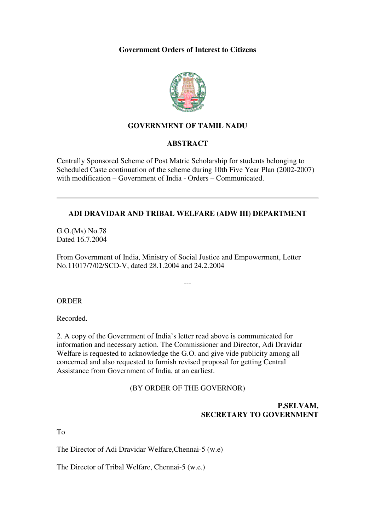### **Government Orders of Interest to Citizens**



# **GOVERNMENT OF TAMIL NADU**

#### **ABSTRACT**

Centrally Sponsored Scheme of Post Matric Scholarship for students belonging to Scheduled Caste continuation of the scheme during 10th Five Year Plan (2002-2007) with modification – Government of India - Orders – Communicated.

## **ADI DRAVIDAR AND TRIBAL WELFARE (ADW III) DEPARTMENT**

G.O.(Ms) No.78 Dated 16.7.2004

From Government of India, Ministry of Social Justice and Empowerment, Letter No.11017/7/02/SCD-V, dated 28.1.2004 and 24.2.2004

---

#### **ORDER**

Recorded.

2. A copy of the Government of India's letter read above is communicated for information and necessary action. The Commissioner and Director, Adi Dravidar Welfare is requested to acknowledge the G.O. and give vide publicity among all concerned and also requested to furnish revised proposal for getting Central Assistance from Government of India, at an earliest.

#### (BY ORDER OF THE GOVERNOR)

### **P.SELVAM, SECRETARY TO GOVERNMENT**

To

The Director of Adi Dravidar Welfare,Chennai-5 (w.e)

The Director of Tribal Welfare, Chennai-5 (w.e.)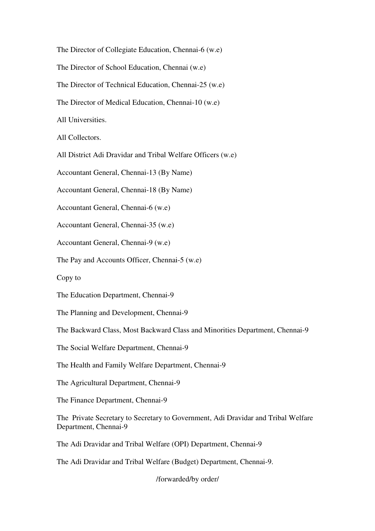The Director of Collegiate Education, Chennai-6 (w.e)

The Director of School Education, Chennai (w.e)

The Director of Technical Education, Chennai-25 (w.e)

The Director of Medical Education, Chennai-10 (w.e)

All Universities.

All Collectors.

All District Adi Dravidar and Tribal Welfare Officers (w.e)

Accountant General, Chennai-13 (By Name)

Accountant General, Chennai-18 (By Name)

Accountant General, Chennai-6 (w.e)

Accountant General, Chennai-35 (w.e)

Accountant General, Chennai-9 (w.e)

The Pay and Accounts Officer, Chennai-5 (w.e)

Copy to

The Education Department, Chennai-9

The Planning and Development, Chennai-9

The Backward Class, Most Backward Class and Minorities Department, Chennai-9

The Social Welfare Department, Chennai-9

The Health and Family Welfare Department, Chennai-9

The Agricultural Department, Chennai-9

The Finance Department, Chennai-9

The Private Secretary to Secretary to Government, Adi Dravidar and Tribal Welfare Department, Chennai-9

The Adi Dravidar and Tribal Welfare (OPI) Department, Chennai-9

The Adi Dravidar and Tribal Welfare (Budget) Department, Chennai-9.

/forwarded/by order/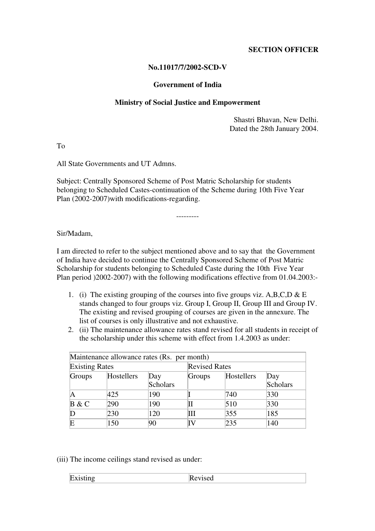### **SECTION OFFICER**

### **No.11017/7/2002-SCD-V**

#### **Government of India**

### **Ministry of Social Justice and Empowerment**

Shastri Bhavan, New Delhi. Dated the 28th January 2004.

To

All State Governments and UT Admns.

Subject: Centrally Sponsored Scheme of Post Matric Scholarship for students belonging to Scheduled Castes-continuation of the Scheme during 10th Five Year Plan (2002-2007)with modifications-regarding.

Sir/Madam,

I am directed to refer to the subject mentioned above and to say that the Government of India have decided to continue the Centrally Sponsored Scheme of Post Matric Scholarship for students belonging to Scheduled Caste during the 10th Five Year Plan period )2002-2007) with the following modifications effective from 01.04.2003:-

---------

- 1. (i) The existing grouping of the courses into five groups viz. A,B,C,D & E stands changed to four groups viz. Group I, Group II, Group III and Group IV. The existing and revised grouping of courses are given in the annexure. The list of courses is only illustrative and not exhaustive.
- 2. (ii) The maintenance allowance rates stand revised for all students in receipt of the scholarship under this scheme with effect from 1.4.2003 as under:

| Maintenance allowance rates (Rs. per month) |            |          |        |                      |          |  |  |
|---------------------------------------------|------------|----------|--------|----------------------|----------|--|--|
| <b>Existing Rates</b>                       |            |          |        | <b>Revised Rates</b> |          |  |  |
| <b>Groups</b>                               | Hostellers | Day      | Groups | Hostellers           | Day      |  |  |
|                                             |            | Scholars |        |                      | Scholars |  |  |
| A                                           | 425        | 190      |        | 740                  | 330      |  |  |
| B & C                                       | 290        | 190      |        | 510                  | 330      |  |  |
|                                             | 230        | 120      | Ш      | 355                  | 185      |  |  |
| Ε                                           | 150        | 90       | IV     | 235                  | 140      |  |  |

(iii) The income ceilings stand revised as under:

| $\blacksquare$ | IM   |
|----------------|------|
| IH.X           | 100u |
|                |      |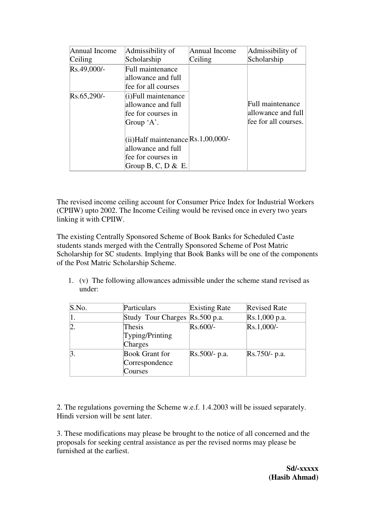| Annual Income | Admissibility of                       | <b>Annual Income</b> | Admissibility of     |
|---------------|----------------------------------------|----------------------|----------------------|
| Ceiling       | Scholarship                            | Ceiling              | Scholarship          |
| Rs.49,000/-   | Full maintenance                       |                      |                      |
|               | allowance and full                     |                      |                      |
|               | fee for all courses                    |                      |                      |
| Rs.65,290/-   | $(i)$ Full maintenance                 |                      |                      |
|               | allowance and full                     |                      | Full maintenance     |
|               | fee for courses in                     |                      | allowance and full   |
|               | Group 'A'.                             |                      | fee for all courses. |
|               | $(iii)$ Half maintenance Rs.1,00,000/- |                      |                      |
|               | allowance and full                     |                      |                      |
|               | fee for courses in                     |                      |                      |
|               | Group B, C, D & E.                     |                      |                      |

The revised income ceiling account for Consumer Price Index for Industrial Workers (CPIIW) upto 2002. The Income Ceiling would be revised once in every two years linking it with CPIIW.

The existing Centrally Sponsored Scheme of Book Banks for Scheduled Caste students stands merged with the Centrally Sponsored Scheme of Post Matric Scholarship for SC students. Implying that Book Banks will be one of the components of the Post Matric Scholarship Scheme.

1. (v) The following allowances admissible under the scheme stand revised as under:

| S.No.            | Particulars                                        | <b>Existing Rate</b> | <b>Revised Rate</b> |
|------------------|----------------------------------------------------|----------------------|---------------------|
| $\mathbf{1}$ .   | Study Tour Charges Rs.500 p.a.                     |                      | Rs.1,000 p.a.       |
| $\overline{2}.$  | Thesis<br>Typing/Printing<br>Charges               | $Rs.600/-$           | $Rs.1,000/-$        |
| $\overline{3}$ . | <b>Book Grant for</b><br>Correspondence<br>Courses | $Rs.500/- p.a.$      | $Rs.750/- p.a.$     |

2. The regulations governing the Scheme w.e.f. 1.4.2003 will be issued separately. Hindi version will be sent later.

3. These modifications may please be brought to the notice of all concerned and the proposals for seeking central assistance as per the revised norms may please be furnished at the earliest.